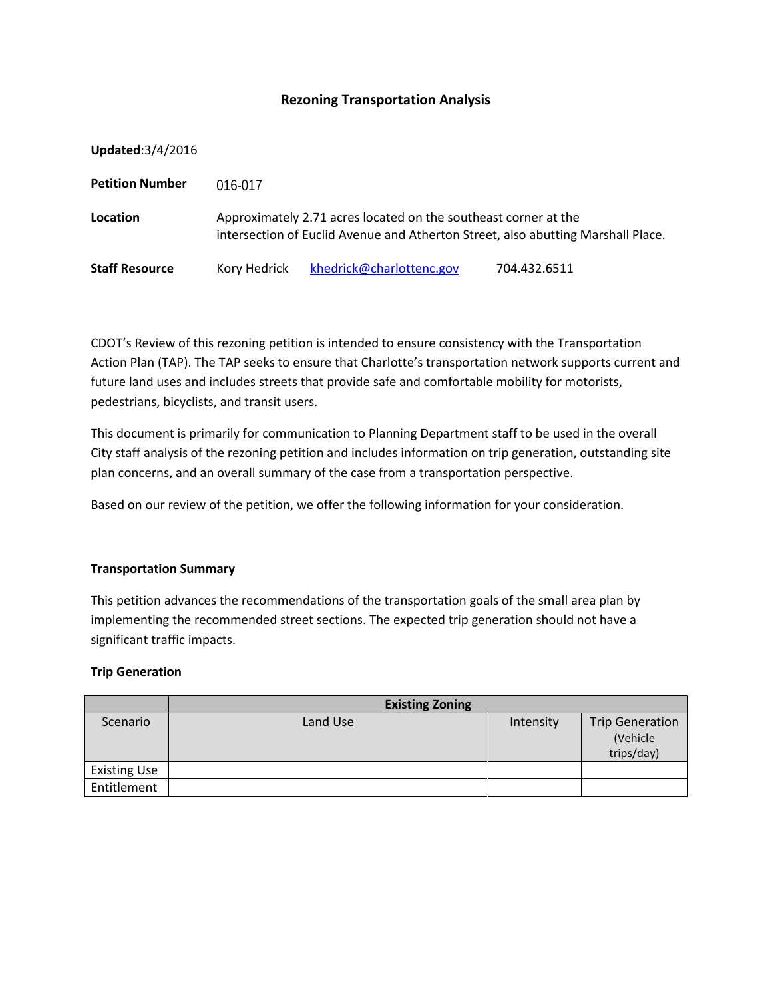# **Rezoning Transportation Analysis**

|  |  | Updated: 3/4/2016 |  |
|--|--|-------------------|--|
|  |  |                   |  |

| <b>Petition Number</b> | 016-017                                                                                                                                             |                          |              |  |  |
|------------------------|-----------------------------------------------------------------------------------------------------------------------------------------------------|--------------------------|--------------|--|--|
| Location               | Approximately 2.71 acres located on the southeast corner at the<br>intersection of Euclid Avenue and Atherton Street, also abutting Marshall Place. |                          |              |  |  |
| <b>Staff Resource</b>  | Kory Hedrick                                                                                                                                        | khedrick@charlottenc.gov | 704.432.6511 |  |  |

CDOT's Review of this rezoning petition is intended to ensure consistency with the Transportation Action Plan (TAP). The TAP seeks to ensure that Charlotte's transportation network supports current and future land uses and includes streets that provide safe and comfortable mobility for motorists, pedestrians, bicyclists, and transit users.

This document is primarily for communication to Planning Department staff to be used in the overall City staff analysis of the rezoning petition and includes information on trip generation, outstanding site plan concerns, and an overall summary of the case from a transportation perspective.

Based on our review of the petition, we offer the following information for your consideration.

### **Transportation Summary**

This petition advances the recommendations of the transportation goals of the small area plan by implementing the recommended street sections. The expected trip generation should not have a significant traffic impacts.

### **Trip Generation**

|                     | <b>Existing Zoning</b> |           |                                                  |
|---------------------|------------------------|-----------|--------------------------------------------------|
| Scenario            | Land Use               | Intensity | <b>Trip Generation</b><br>(Vehicle<br>trips/day) |
| <b>Existing Use</b> |                        |           |                                                  |
| Entitlement         |                        |           |                                                  |